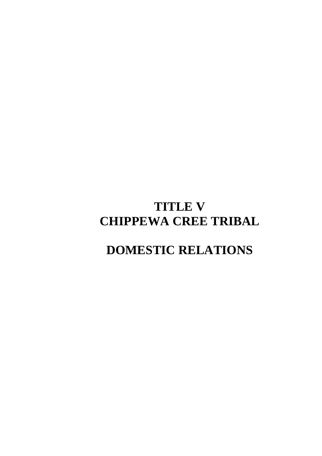# **TITLE V CHIPPEWA CREE TRIBAL**

# **DOMESTIC RELATIONS**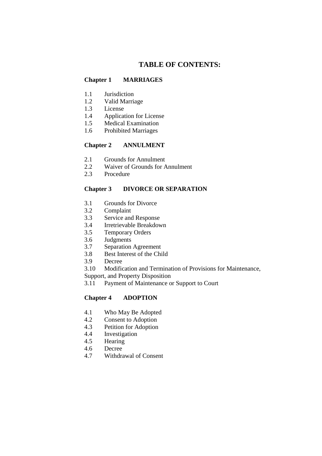# **TABLE OF CONTENTS:**

## **Chapter 1 MARRIAGES**

- 1.1 Jurisdiction
- 1.2 Valid Marriage
- 1.3 License
- 1.4 Application for License
- 1.5 Medical Examination
- 1.6 Prohibited Marriages

## **Chapter 2 ANNULMENT**

- 2.1 Grounds for Annulment
- 2.2 Waiver of Grounds for Annulment
- 2.3 Procedure

## **Chapter 3 DIVORCE OR SEPARATION**

- 3.1 Grounds for Divorce
- 3.2 Complaint
- 3.3 Service and Response
- 3.4 Irretrievable Breakdown
- 3.5 Temporary Orders
- 3.6 Judgments
- 3.7 Separation Agreement
- 3.8 Best Interest of the Child
- 3.9 Decree
- 3.10 Modification and Termination of Provisions for Maintenance,

Support, and Property Disposition

3.11 Payment of Maintenance or Support to Court

## **Chapter 4 ADOPTION**

- 4.1 Who May Be Adopted
- 4.2 Consent to Adoption
- 4.3 Petition for Adoption
- 4.4 Investigation
- 4.5 Hearing
- 4.6 Decree
- 4.7 Withdrawal of Consent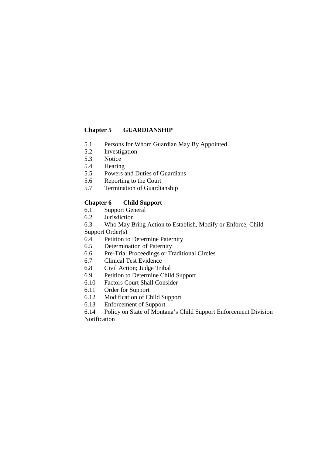## **Chapter 5 GUARDIANSHIP**

- 5.1 Persons for Whom Guardian May By Appointed
- 5.2 Investigation
- 5.3 Notice
- 5.4 Hearing
- 5.5 Powers and Duties of Guardians
- 5.6 Reporting to the Court
- 5.7 Termination of Guardianship

## **Chapter 6 Child Support**

- 6.1 Support General
- 6.2 Jurisdiction
- 6.3 Who May Bring Action to Establish, Modify or Enforce, Child

Support Order(s)

- 6.4 Petition to Determine Paternity
- 6.5 Determination of Paternity
- 6.6 Pre-Trial Proceedings or Traditional Circles
- 6.7 Clinical Test Evidence
- 6.8 Civil Action; Judge Tribal
- 6.9 Petition to Determine Child Support
- 6.10 Factors Court Shall Consider
- 6.11 Order for Support
- 6.12 Modification of Child Support
- 6.13 Enforcement of Support

6.14 Policy on State of Montana's Child Support Enforcement Division Notification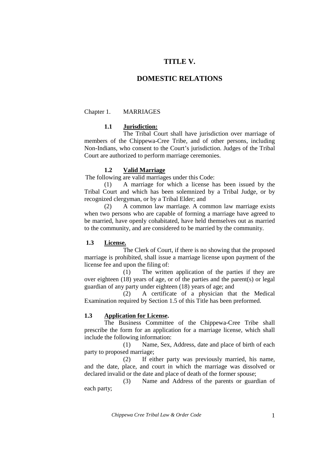## **TITLE V.**

## **DOMESTIC RELATIONS**

#### Chapter 1. MARRIAGES

#### **1.1 Jurisdiction:**

The Tribal Court shall have jurisdiction over marriage of members of the Chippewa-Cree Tribe, and of other persons, including Non-Indians, who consent to the Court's jurisdiction. Judges of the Tribal Court are authorized to perform marriage ceremonies.

#### **1.2 Valid Marriage**

The following are valid marriages under this Code:

(1) A marriage for which a license has been issued by the Tribal Court and which has been solemnized by a Tribal Judge, or by recognized clergyman, or by a Tribal Elder; and

 (2) A common law marriage. A common law marriage exists when two persons who are capable of forming a marriage have agreed to be married, have openly cohabitated, have held themselves out as married to the community, and are considered to be married by the community.

#### **1.3 License.**

 The Clerk of Court, if there is no showing that the proposed marriage is prohibited, shall issue a marriage license upon payment of the license fee and upon the filing of:

 (1) The written application of the parties if they are over eighteen (18) years of age, or of the parties and the parent(s) or legal guardian of any party under eighteen (18) years of age; and

 (2) A certificate of a physician that the Medical Examination required by Section 1.5 of this Title has been preformed.

#### **1.3 Application for License.**

 The Business Committee of the Chippewa-Cree Tribe shall prescribe the form for an application for a marriage license, which shall include the following information:

 (1) Name, Sex, Address, date and place of birth of each party to proposed marriage;

 (2) If either party was previously married, his name, and the date, place, and court in which the marriage was dissolved or declared invalid or the date and place of death of the former spouse;

 (3) Name and Address of the parents or guardian of each party;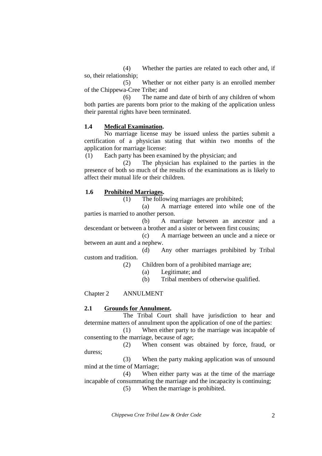(4) Whether the parties are related to each other and, if so, their relationship;

 (5) Whether or not either party is an enrolled member of the Chippewa-Cree Tribe; and

 (6) The name and date of birth of any children of whom both parties are parents born prior to the making of the application unless their parental rights have been terminated.

#### **1.4 Medical Examination.**

 No marriage license may be issued unless the parties submit a certification of a physician stating that within two months of the application for marriage license:

(1) Each party has been examined by the physician; and

 (2) The physician has explained to the parties in the presence of both so much of the results of the examinations as is likely to affect their mutual life or their children.

#### **1.6 Prohibited Marriages.**

(1) The following marriages are prohibited;

 (a) A marriage entered into while one of the parties is married to another person.

 (b) A marriage between an ancestor and a descendant or between a brother and a sister or between first cousins;

 (c) A marriage between an uncle and a niece or between an aunt and a nephew.

 (d) Any other marriages prohibited by Tribal custom and tradition.

(2) Children born of a prohibited marriage are;

- (a) Legitimate; and
- (b) Tribal members of otherwise qualified.

Chapter 2 ANNULMENT

### **2.1 Grounds for Annulment.**

 The Tribal Court shall have jurisdiction to hear and determine matters of annulment upon the application of one of the parties:

 (1) When either party to the marriage was incapable of consenting to the marriage, because of age;

 (2) When consent was obtained by force, fraud, or duress;

 (3) When the party making application was of unsound mind at the time of Marriage;

 (4) When either party was at the time of the marriage incapable of consummating the marriage and the incapacity is continuing;

(5) When the marriage is prohibited.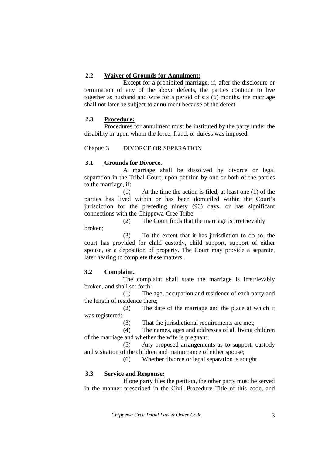## **2.2 Waiver of Grounds for Annulment:**

 Except for a prohibited marriage, if, after the disclosure or termination of any of the above defects, the parties continue to live together as husband and wife for a period of six (6) months, the marriage shall not later be subject to annulment because of the defect.

## **2.3 Procedure:**

 Procedures for annulment must be instituted by the party under the disability or upon whom the force, fraud, or duress was imposed.

Chapter 3 DIVORCE OR SEPERATION

#### **3.1 Grounds for Divorce.**

A marriage shall be dissolved by divorce or legal separation in the Tribal Court, upon petition by one or both of the parties to the marriage, if:

 (1) At the time the action is filed, at least one (1) of the parties has lived within or has been domiciled within the Court's jurisdiction for the preceding ninety (90) days, or has significant connections with the Chippewa-Cree Tribe;

 (2) The Court finds that the marriage is irretrievably broken;

 (3) To the extent that it has jurisdiction to do so, the court has provided for child custody, child support, support of either spouse, or a deposition of property. The Court may provide a separate, later hearing to complete these matters.

## **3.2 Complaint.**

 The complaint shall state the marriage is irretrievably broken, and shall set forth:

 (1) The age, occupation and residence of each party and the length of residence there;

 (2) The date of the marriage and the place at which it was registered;

(3) That the jurisdictional requirements are met;

 (4) The names, ages and addresses of all living children of the marriage and whether the wife is pregnant;

 (5) Any proposed arrangements as to support, custody and visitation of the children and maintenance of either spouse;

(6) Whether divorce or legal separation is sought.

## **3.3 Service and Response:**

 If one party files the petition, the other party must be served in the manner prescribed in the Civil Procedure Title of this code, and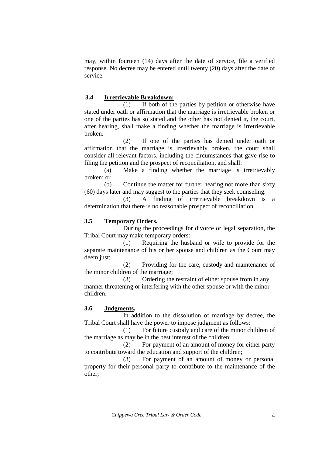may, within fourteen (14) days after the date of service, file a verified response. No decree may be entered until twenty (20) days after the date of service.

#### **3.4 Irretrievable Breakdown:**

(1) If both of the parties by petition or otherwise have stated under oath or affirmation that the marriage is irretrievable broken or one of the parties has so stated and the other has not denied it, the court, after hearing, shall make a finding whether the marriage is irretrievable broken.

 (2) If one of the parties has denied under oath or affirmation that the marriage is irretrievably broken, the court shall consider all relevant factors, including the circumstances that gave rise to filing the petition and the prospect of reconciliation, and shall:

 (a) Make a finding whether the marriage is irretrievably broken; or

 (b) Continue the matter for further hearing not more than sixty (60) days later and may suggest to the parties that they seek counseling.

 (3) A finding of irretrievable breakdown is a determination that there is no reasonable prospect of reconciliation.

#### **3.5 Temporary Orders.**

 During the proceedings for divorce or legal separation, the Tribal Court may make temporary orders:

 (1) Requiring the husband or wife to provide for the separate maintenance of his or her spouse and children as the Court may deem just;

 (2) Providing for the care, custody and maintenance of the minor children of the marriage;

 (3) Ordering the restraint of either spouse from in any manner threatening or interfering with the other spouse or with the minor children.

#### **3.6 Judgments.**

 In addition to the dissolution of marriage by decree, the Tribal Court shall have the power to impose judgment as follows:

(1) For future custody and care of the minor children of the marriage as may be in the best interest of the children;

 (2) For payment of an amount of money for either party to contribute toward the education and support of the children;

 (3) For payment of an amount of money or personal property for their personal party to contribute to the maintenance of the other;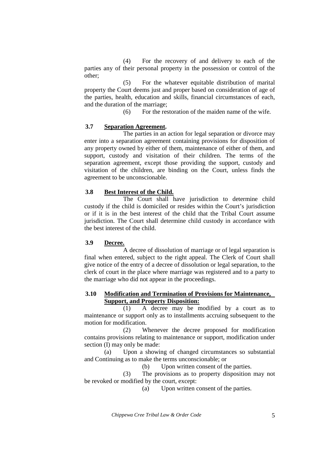(4) For the recovery of and delivery to each of the parties any of their personal property in the possession or control of the other;

 (5) For the whatever equitable distribution of marital property the Court deems just and proper based on consideration of age of the parties, health, education and skills, financial circumstances of each, and the duration of the marriage;

(6) For the restoration of the maiden name of the wife.

## **3.7 Separation Agreement.**

The parties in an action for legal separation or divorce may enter into a separation agreement containing provisions for disposition of any property owned by either of them, maintenance of either of them, and support, custody and visitation of their children. The terms of the separation agreement, except those providing the support, custody and visitation of the children, are binding on the Court, unless finds the agreement to be unconscionable.

## **3.8 Best Interest of the Child.**

The Court shall have jurisdiction to determine child custody if the child is domiciled or resides within the Court's jurisdiction or if it is in the best interest of the child that the Tribal Court assume jurisdiction. The Court shall determine child custody in accordance with the best interest of the child.

## **3.9 Decree.**

 A decree of dissolution of marriage or of legal separation is final when entered, subject to the right appeal. The Clerk of Court shall give notice of the entry of a decree of dissolution or legal separation, to the clerk of court in the place where marriage was registered and to a party to the marriage who did not appear in the proceedings.

## **3.10 Modification and Termination of Provisions for Maintenance, Support, and Property Disposition:**

(1) A decree may be modified by a court as to maintenance or support only as to installments accruing subsequent to the motion for modification.

 (2) Whenever the decree proposed for modification contains provisions relating to maintenance or support, modification under section (I) may only be made:

 (a) Upon a showing of changed circumstances so substantial and Continuing as to make the terms unconscionable; or

(b) Upon written consent of the parties.

 (3) The provisions as to property disposition may not be revoked or modified by the court, except:

(a) Upon written consent of the parties.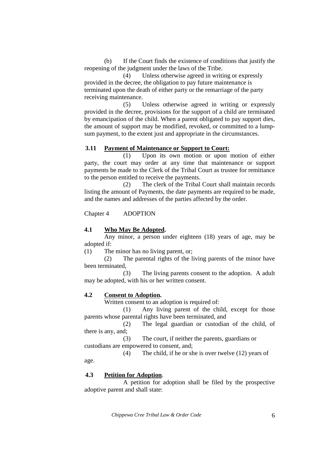(b) If the Court finds the existence of conditions that justify the reopening of the judgment under the laws of the Tribe.

 (4) Unless otherwise agreed in writing or expressly provided in the decree, the obligation to pay future maintenance is terminated upon the death of either party or the remarriage of the party receiving maintenance.

 (5) Unless otherwise agreed in writing or expressly provided in the decree, provisions for the support of a child are terminated by emancipation of the child. When a parent obligated to pay support dies, the amount of support may be modified, revoked, or committed to a lumpsum payment, to the extent just and appropriate in the circumstances.

#### **3.11 Payment of Maintenance or Support to Court:**

 (1) Upon its own motion or upon motion of either party, the court may order at any time that maintenance or support payments be made to the Clerk of the Tribal Court as trustee for remittance to the person entitled to receive the payments.

 (2) The clerk of the Tribal Court shall maintain records listing the amount of Payments, the date payments are required to be made, and the names and addresses of the parties affected by the order.

Chapter 4 ADOPTION

### **4.1 Who May Be Adopted.**

 Any minor, a person under eighteen (18) years of age, may be adopted if:

(1) The minor has no living parent, or;

 (2) The parental rights of the living parents of the minor have been terminated,

 (3) The living parents consent to the adoption. A adult may be adopted, with his or her written consent.

## **4.2 Consent to Adoption.**

Written consent to an adoption is required of:

 (1) Any living parent of the child, except for those parents whose parental rights have been terminated, and

 (2) The legal guardian or custodian of the child, of there is any, and;

 (3) The court, if neither the parents, guardians or custodians are empowered to consent, and;

 (4) The child, if he or she is over twelve (12) years of age.

### **4.3 Petition for Adoption**.

A petition for adoption shall be filed by the prospective adoptive parent and shall state: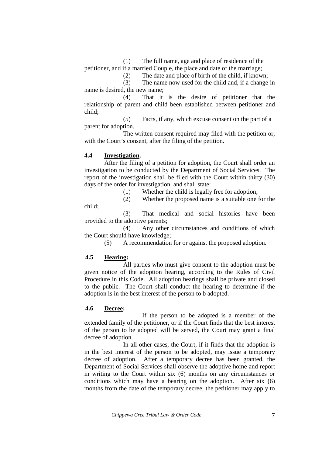(1) The full name, age and place of residence of the petitioner, and if a married Couple, the place and date of the marriage;

(2) The date and place of birth of the child, if known;

 (3) The name now used for the child and, if a change in name is desired, the new name;

 (4) That it is the desire of petitioner that the relationship of parent and child been established between petitioner and child;

 (5) Facts, if any, which excuse consent on the part of a parent for adoption.

 The written consent required may filed with the petition or, with the Court's consent, after the filing of the petition.

## **4.4 Investigation.**

 After the filing of a petition for adoption, the Court shall order an investigation to be conducted by the Department of Social Services. The report of the investigation shall be filed with the Court within thirty (30) days of the order for investigation, and shall state:

(1) Whether the child is legally free for adoption;

(2) Whether the proposed name is a suitable one for the

child;

 (3) That medical and social histories have been provided to the adoptive parents;

 (4) Any other circumstances and conditions of which the Court should have knowledge;

(5) A recommendation for or against the proposed adoption.

## **4.5 Hearing:**

All parties who must give consent to the adoption must be given notice of the adoption hearing, according to the Rules of Civil Procedure in this Code. All adoption hearings shall be private and closed to the public. The Court shall conduct the hearing to determine if the adoption is in the best interest of the person to b adopted.

## **4.6 Decree:**

 If the person to be adopted is a member of the extended family of the petitioner, or if the Court finds that the best interest of the person to be adopted will be served, the Court may grant a final decree of adoption.

 In all other cases, the Court, if it finds that the adoption is in the best interest of the person to be adopted, may issue a temporary decree of adoption. After a temporary decree has been granted, the Department of Social Services shall observe the adoptive home and report in writing to the Court within six (6) months on any circumstances or conditions which may have a bearing on the adoption. After six (6) months from the date of the temporary decree, the petitioner may apply to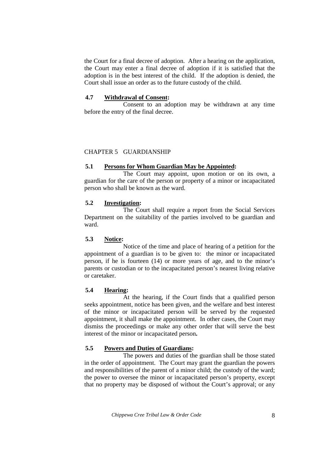the Court for a final decree of adoption. After a hearing on the application, the Court may enter a final decree of adoption if it is satisfied that the adoption is in the best interest of the child. If the adoption is denied, the Court shall issue an order as to the future custody of the child.

### **4.7 Withdrawal of Consent:**

 Consent to an adoption may be withdrawn at any time before the entry of the final decree.

#### CHAPTER 5 GUARDIANSHIP

#### **5.1 Persons for Whom Guardian May be Appointed:**

The Court may appoint, upon motion or on its own, a guardian for the care of the person or property of a minor or incapacitated person who shall be known as the ward.

#### **5.2 Investigation:**

The Court shall require a report from the Social Services Department on the suitability of the parties involved to be guardian and ward.

## **5.3 Notice:**

Notice of the time and place of hearing of a petition for the appointment of a guardian is to be given to: the minor or incapacitated person, if he is fourteen (14) or more years of age, and to the minor's parents or custodian or to the incapacitated person's nearest living relative or caretaker.

#### **5.4 Hearing:**

 At the hearing, if the Court finds that a qualified person seeks appointment, notice has been given, and the welfare and best interest of the minor or incapacitated person will be served by the requested appointment, it shall make the appointment. In other cases, the Court may dismiss the proceedings or make any other order that will serve the best interest of the minor or incapacitated person**.** 

## **5.5 Powers and Duties of Guardians:**

The powers and duties of the guardian shall be those stated in the order of appointment. The Court may grant the guardian the powers and responsibilities of the parent of a minor child; the custody of the ward; the power to oversee the minor or incapacitated person's property, except that no property may be disposed of without the Court's approval; or any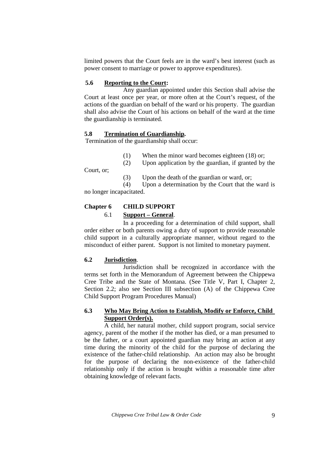limited powers that the Court feels are in the ward's best interest (such as power consent to marriage or power to approve expenditures).

## **5.6 Reporting to the Court:**

Any guardian appointed under this Section shall advise the Court at least once per year, or more often at the Court's request, of the actions of the guardian on behalf of the ward or his property. The guardian shall also advise the Court of his actions on behalf of the ward at the time the guardianship is terminated.

## **5.8 Termination of Guardianship.**

Termination of the guardianship shall occur:

(1) When the minor ward becomes eighteen (18) or;

(2) Upon application by the guardian, if granted by the

Court, or;

(3) Upon the death of the guardian or ward, or;

 (4) Upon a determination by the Court that the ward is no longer incapacitated.

## **Chapter 6 CHILD SUPPORT**

## 6.1 **Support – General**.

 In a proceeding for a determination of child support, shall order either or both parents owing a duty of support to provide reasonable child support in a culturally appropriate manner, without regard to the misconduct of either parent. Support is not limited to monetary payment.

## **6.2 Jurisdiction**.

 Jurisdiction shall be recognized in accordance with the terms set forth in the Memorandum of Agreement between the Chippewa Cree Tribe and the State of Montana. (See Title V, Part I, Chapter 2, Section 2.2; also see Section III subsection (A) of the Chippewa Cree Child Support Program Procedures Manual)

## **6.3 Who May Bring Action to Establish, Modify or Enforce, Child Support Order(s).**

 A child, her natural mother, child support program, social service agency, parent of the mother if the mother has died, or a man presumed to be the father, or a court appointed guardian may bring an action at any time during the minority of the child for the purpose of declaring the existence of the father-child relationship. An action may also be brought for the purpose of declaring the non-existence of the father-child relationship only if the action is brought within a reasonable time after obtaining knowledge of relevant facts.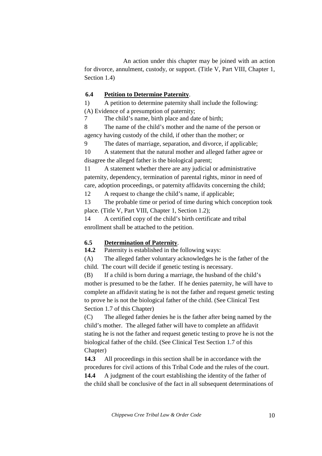An action under this chapter may be joined with an action for divorce, annulment, custody, or support. (Title V, Part VIII, Chapter 1, Section 1.4)

## **6.4 Petition to Determine Paternity**.

1) A petition to determine paternity shall include the following: (A) Evidence of a presumption of paternity;

7 The child's name, birth place and date of birth;

8 The name of the child's mother and the name of the person or agency having custody of the child, if other than the mother; or

9 The dates of marriage, separation, and divorce, if applicable;

10 A statement that the natural mother and alleged father agree or disagree the alleged father is the biological parent;

11 A statement whether there are any judicial or administrative paternity, dependency, termination of parental rights, minor in need of care, adoption proceedings, or paternity affidavits concerning the child;

12 A request to change the child's name, if applicable;

13 The probable time or period of time during which conception took place. (Title V, Part VIII, Chapter 1, Section 1.2);

14 A certified copy of the child's birth certificate and tribal enrollment shall be attached to the petition.

## **6.5 Determination of Paternity**.

**14.2** Paternity is established in the following ways:

(A) The alleged father voluntary acknowledges he is the father of the child. The court will decide if genetic testing is necessary.

(B) If a child is born during a marriage, the husband of the child's mother is presumed to be the father. If he denies paternity, he will have to complete an affidavit stating he is not the father and request genetic testing to prove he is not the biological father of the child. (See Clinical Test Section 1.7 of this Chapter)

(C) The alleged father denies he is the father after being named by the child's mother. The alleged father will have to complete an affidavit stating he is not the father and request genetic testing to prove he is not the biological father of the child. (See Clinical Test Section 1.7 of this Chapter)

**14.3** All proceedings in this section shall be in accordance with the procedures for civil actions of this Tribal Code and the rules of the court.

**14.4** A judgment of the court establishing the identity of the father of the child shall be conclusive of the fact in all subsequent determinations of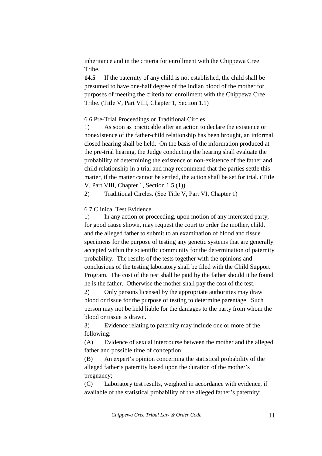inheritance and in the criteria for enrollment with the Chippewa Cree Tribe.

**14.5** If the paternity of any child is not established, the child shall be presumed to have one-half degree of the Indian blood of the mother for purposes of meeting the criteria for enrollment with the Chippewa Cree Tribe. (Title V, Part VIII, Chapter 1, Section 1.1)

6.6 Pre-Trial Proceedings or Traditional Circles.

1) As soon as practicable after an action to declare the existence or nonexistence of the father-child relationship has been brought, an informal closed hearing shall be held. On the basis of the information produced at the pre-trial hearing, the Judge conducting the hearing shall evaluate the probability of determining the existence or non-existence of the father and child relationship in a trial and may recommend that the parties settle this matter, if the matter cannot be settled, the action shall be set for trial. (Title V, Part VIII, Chapter 1, Section 1.5 (1))

2) Traditional Circles. (See Title V, Part VI, Chapter 1)

6.7 Clinical Test Evidence.

1) In any action or proceeding, upon motion of any interested party, for good cause shown, may request the court to order the mother, child, and the alleged father to submit to an examination of blood and tissue specimens for the purpose of testing any genetic systems that are generally accepted within the scientific community for the determination of paternity probability. The results of the tests together with the opinions and conclusions of the testing laboratory shall be filed with the Child Support Program. The cost of the test shall be paid by the father should it be found he is the father. Otherwise the mother shall pay the cost of the test.

2) Only persons licensed by the appropriate authorities may draw blood or tissue for the purpose of testing to determine parentage. Such person may not be held liable for the damages to the party from whom the blood or tissue is drawn.

3) Evidence relating to paternity may include one or more of the following:

(A) Evidence of sexual intercourse between the mother and the alleged father and possible time of conception;

(B) An expert's opinion concerning the statistical probability of the alleged father's paternity based upon the duration of the mother's pregnancy;

(C) Laboratory test results, weighted in accordance with evidence, if available of the statistical probability of the alleged father's paternity;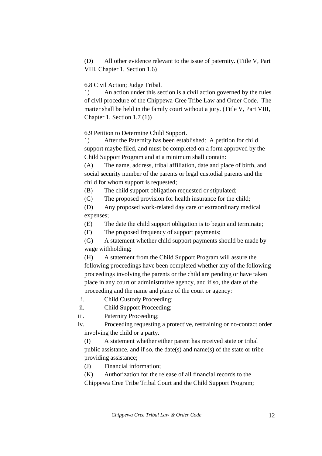(D) All other evidence relevant to the issue of paternity. (Title V, Part VIII, Chapter 1, Section 1.6)

## 6.8 Civil Action; Judge Tribal.

1) An action under this section is a civil action governed by the rules of civil procedure of the Chippewa-Cree Tribe Law and Order Code. The matter shall be held in the family court without a jury. (Title V, Part VIII, Chapter 1, Section 1.7 (1))

6.9 Petition to Determine Child Support.

1) After the Paternity has been established: A petition for child support maybe filed, and must be completed on a form approved by the Child Support Program and at a minimum shall contain:

(A) The name, address, tribal affiliation, date and place of birth, and social security number of the parents or legal custodial parents and the child for whom support is requested;

(B) The child support obligation requested or stipulated;

(C) The proposed provision for health insurance for the child;

(D) Any proposed work-related day care or extraordinary medical expenses;

(E) The date the child support obligation is to begin and terminate;

(F) The proposed frequency of support payments;

(G) A statement whether child support payments should be made by wage withholding;

(H) A statement from the Child Support Program will assure the following proceedings have been completed whether any of the following proceedings involving the parents or the child are pending or have taken place in any court or administrative agency, and if so, the date of the proceeding and the name and place of the court or agency:

i. Child Custody Proceeding;

ii. Child Support Proceeding;

iii. Paternity Proceeding;

iv. Proceeding requesting a protective, restraining or no-contact order involving the child or a party.

(I) A statement whether either parent has received state or tribal public assistance, and if so, the date(s) and name(s) of the state or tribe providing assistance;

(J) Financial information;

(K) Authorization for the release of all financial records to the Chippewa Cree Tribe Tribal Court and the Child Support Program;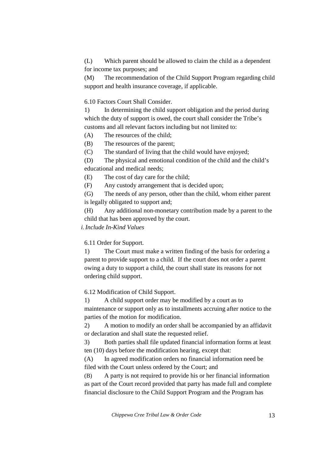(L) Which parent should be allowed to claim the child as a dependent for income tax purposes; and

(M) The recommendation of the Child Support Program regarding child support and health insurance coverage, if applicable.

6.10 Factors Court Shall Consider.

1) In determining the child support obligation and the period during which the duty of support is owed, the court shall consider the Tribe's customs and all relevant factors including but not limited to:

(A) The resources of the child;

(B) The resources of the parent;

(C) The standard of living that the child would have enjoyed;

(D) The physical and emotional condition of the child and the child's educational and medical needs;

(E) The cost of day care for the child;

(F) Any custody arrangement that is decided upon;

(G) The needs of any person, other than the child, whom either parent is legally obligated to support and;

(H) Any additional non-monetary contribution made by a parent to the child that has been approved by the court.

*i.Include In-Kind Values* 

6.11 Order for Support.

1) The Court must make a written finding of the basis for ordering a parent to provide support to a child. If the court does not order a parent owing a duty to support a child, the court shall state its reasons for not ordering child support.

6.12 Modification of Child Support.

1) A child support order may be modified by a court as to maintenance or support only as to installments accruing after notice to the parties of the motion for modification.

2) A motion to modify an order shall be accompanied by an affidavit or declaration and shall state the requested relief.

3) Both parties shall file updated financial information forms at least ten (10) days before the modification hearing, except that:

(A) In agreed modification orders no financial information need be filed with the Court unless ordered by the Court; and

(B) A party is not required to provide his or her financial information as part of the Court record provided that party has made full and complete financial disclosure to the Child Support Program and the Program has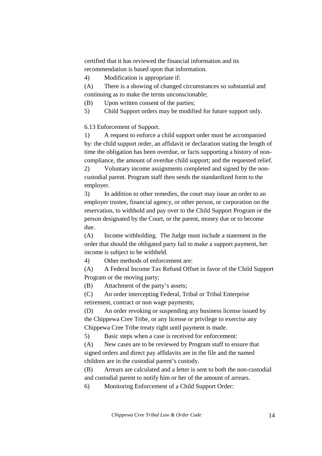certified that it has reviewed the financial information and its recommendation is based upon that information.

4) Modification is appropriate if:

(A) There is a showing of changed circumstances so substantial and continuing as to make the terms unconscionable;

(B) Upon written consent of the parties;

5) Child Support orders may be modified for future support only.

6.13 Enforcement of Support.

1) A request to enforce a child support order must be accompanied by: the child support order, an affidavit or declaration stating the length of time the obligation has been overdue, or facts supporting a history of noncompliance, the amount of overdue child support; and the requested relief.

2) Voluntary income assignments completed and signed by the noncustodial parent. Program staff then sends the standardized form to the employer.

3) In addition to other remedies, the court may issue an order to an employer trustee, financial agency, or other person, or corporation on the reservation, to withhold and pay over to the Child Support Program or the person designated by the Court, or the parent, money due or to become due.

(A) Income withholding. The Judge must include a statement in the order that should the obligated party fail to make a support payment, her income is subject to be withheld.

4) Other methods of enforcement are:

(A) A Federal Income Tax Refund Offset in favor of the Child Support Program or the moving party;

(B) Attachment of the party's assets;

(C) An order intercepting Federal, Tribal or Tribal Enterprise retirement, contract or non wage payments;

(D) An order revoking or suspending any business license issued by the Chippewa Cree Tribe, or any license or privilege to exercise any Chippewa Cree Tribe treaty right until payment is made.

5) Basic steps when a case is received for enforcement:

(A) New cases are to be reviewed by Program staff to ensure that signed orders and direct pay affidavits are in the file and the named children are in the custodial parent's custody.

(B) Arrears are calculated and a letter is sent to both the non-custodial and custodial parent to notify him or her of the amount of arrears.

6) Monitoring Enforcement of a Child Support Order: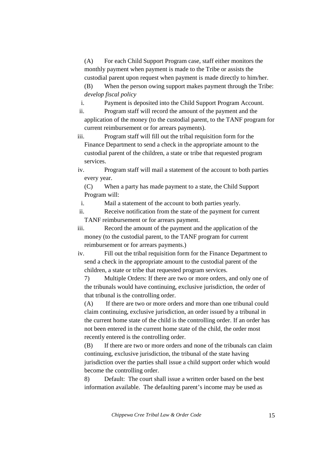(A) For each Child Support Program case, staff either monitors the monthly payment when payment is made to the Tribe or assists the custodial parent upon request when payment is made directly to him/her.

(B) When the person owing support makes payment through the Tribe: *develop fiscal policy*

- i. Payment is deposited into the Child Support Program Account.
- ii. Program staff will record the amount of the payment and the application of the money (to the custodial parent, to the TANF program for current reimbursement or for arrears payments).

iii. Program staff will fill out the tribal requisition form for the Finance Department to send a check in the appropriate amount to the custodial parent of the children, a state or tribe that requested program services.

iv. Program staff will mail a statement of the account to both parties every year.

(C) When a party has made payment to a state, the Child Support Program will:

i. Mail a statement of the account to both parties yearly.

ii. Receive notification from the state of the payment for current TANF reimbursement or for arrears payment.

iii. Record the amount of the payment and the application of the money (to the custodial parent, to the TANF program for current reimbursement or for arrears payments.)

iv. Fill out the tribal requisition form for the Finance Department to send a check in the appropriate amount to the custodial parent of the children, a state or tribe that requested program services.

7) Multiple Orders: If there are two or more orders, and only one of the tribunals would have continuing, exclusive jurisdiction, the order of that tribunal is the controlling order.

(A) If there are two or more orders and more than one tribunal could claim continuing, exclusive jurisdiction, an order issued by a tribunal in the current home state of the child is the controlling order. If an order has not been entered in the current home state of the child, the order most recently entered is the controlling order.

(B) If there are two or more orders and none of the tribunals can claim continuing, exclusive jurisdiction, the tribunal of the state having jurisdiction over the parties shall issue a child support order which would become the controlling order.

8) Default: The court shall issue a written order based on the best information available. The defaulting parent's income may be used as